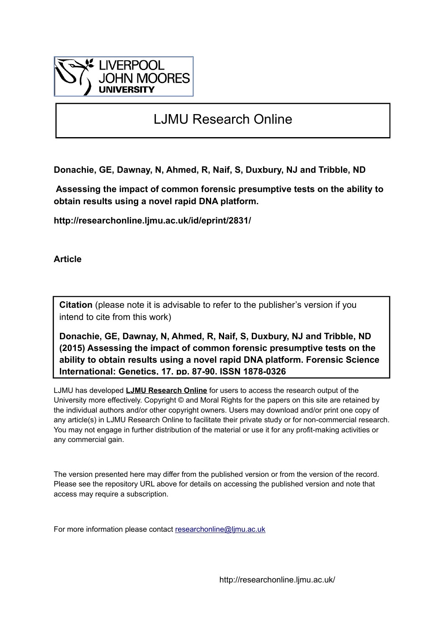

# LJMU Research Online

**Donachie, GE, Dawnay, N, Ahmed, R, Naif, S, Duxbury, NJ and Tribble, ND**

 **Assessing the impact of common forensic presumptive tests on the ability to obtain results using a novel rapid DNA platform.**

**http://researchonline.ljmu.ac.uk/id/eprint/2831/**

**Article**

**Citation** (please note it is advisable to refer to the publisher's version if you intend to cite from this work)

**Donachie, GE, Dawnay, N, Ahmed, R, Naif, S, Duxbury, NJ and Tribble, ND (2015) Assessing the impact of common forensic presumptive tests on the ability to obtain results using a novel rapid DNA platform. Forensic Science International: Genetics, 17. pp. 87-90. ISSN 1878-0326** 

LJMU has developed **[LJMU Research Online](http://researchonline.ljmu.ac.uk/)** for users to access the research output of the University more effectively. Copyright © and Moral Rights for the papers on this site are retained by the individual authors and/or other copyright owners. Users may download and/or print one copy of any article(s) in LJMU Research Online to facilitate their private study or for non-commercial research. You may not engage in further distribution of the material or use it for any profit-making activities or any commercial gain.

The version presented here may differ from the published version or from the version of the record. Please see the repository URL above for details on accessing the published version and note that access may require a subscription.

For more information please contact [researchonline@ljmu.ac.uk](mailto:researchonline@ljmu.ac.uk)

http://researchonline.ljmu.ac.uk/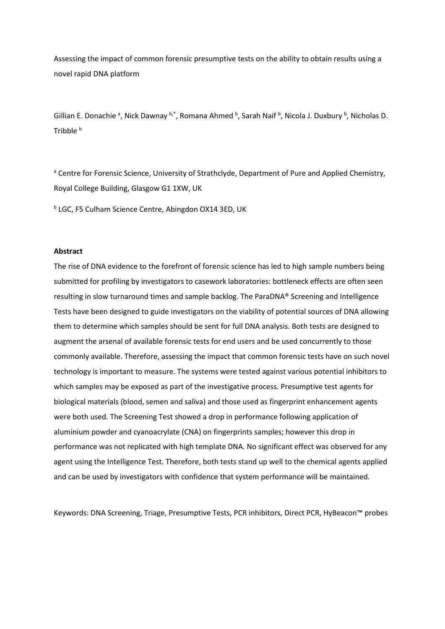Assessing the impact of common forensic presumptive tests on the ability to obtain results using a novel rapid DNA platform

Gillian E. Donachie <sup>a</sup>, Nick Dawnay b,\*, Romana Ahmed b, Sarah Naif b, Nicola J. Duxbury b, Nicholas D. Tribble b

<sup>a</sup> Centre for Forensic Science, University of Strathclyde, Department of Pure and Applied Chemistry, Royal College Building, Glasgow G1 1XW, UK

**b LGC, F5 Culham Science Centre, Abingdon OX14 3ED, UK** 

#### **Abstract**

The rise of DNA evidence to the forefront of forensic science has led to high sample numbers being submitted for profiling by investigators to casework laboratories: bottleneck effects are often seen resulting in slow turnaround times and sample backlog. The ParaDNA® Screening and Intelligence Tests have been designed to guide investigators on the viability of potential sources of DNA allowing them to determine which samples should be sent for full DNA analysis. Both tests are designed to augment the arsenal of available forensic tests for end users and be used concurrently to those commonly available. Therefore, assessing the impact that common forensic tests have on such novel technology is important to measure. The systems were tested against various potential inhibitors to which samples may be exposed as part of the investigative process. Presumptive test agents for biological materials (blood, semen and saliva) and those used as fingerprint enhancement agents were both used. The Screening Test showed a drop in performance following application of aluminium powder and cyanoacrylate (CNA) on fingerprints samples; however this drop in performance was not replicated with high template DNA. No significant effect was observed for any agent using the Intelligence Test. Therefore, both tests stand up well to the chemical agents applied and can be used by investigators with confidence that system performance will be maintained.

Keywords: DNA Screening, Triage, Presumptive Tests, PCR inhibitors, Direct PCR, HyBeacon™ probes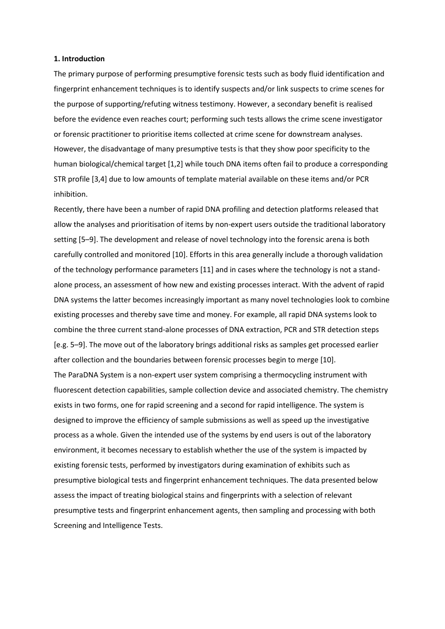### **1. Introduction**

The primary purpose of performing presumptive forensic tests such as body fluid identification and fingerprint enhancement techniques is to identify suspects and/or link suspects to crime scenes for the purpose of supporting/refuting witness testimony. However, a secondary benefit is realised before the evidence even reaches court; performing such tests allows the crime scene investigator or forensic practitioner to prioritise items collected at crime scene for downstream analyses. However, the disadvantage of many presumptive tests is that they show poor specificity to the human biological/chemical target [1,2] while touch DNA items often fail to produce a corresponding STR profile [3,4] due to low amounts of template material available on these items and/or PCR inhibition.

Recently, there have been a number of rapid DNA profiling and detection platforms released that allow the analyses and prioritisation of items by non-expert users outside the traditional laboratory setting [5–9]. The development and release of novel technology into the forensic arena is both carefully controlled and monitored [10]. Efforts in this area generally include a thorough validation of the technology performance parameters [11] and in cases where the technology is not a standalone process, an assessment of how new and existing processes interact. With the advent of rapid DNA systems the latter becomes increasingly important as many novel technologies look to combine existing processes and thereby save time and money. For example, all rapid DNA systems look to combine the three current stand-alone processes of DNA extraction, PCR and STR detection steps [e.g. 5–9]. The move out of the laboratory brings additional risks as samples get processed earlier after collection and the boundaries between forensic processes begin to merge [10].

The ParaDNA System is a non-expert user system comprising a thermocycling instrument with fluorescent detection capabilities, sample collection device and associated chemistry. The chemistry exists in two forms, one for rapid screening and a second for rapid intelligence. The system is designed to improve the efficiency of sample submissions as well as speed up the investigative process as a whole. Given the intended use of the systems by end users is out of the laboratory environment, it becomes necessary to establish whether the use of the system is impacted by existing forensic tests, performed by investigators during examination of exhibits such as presumptive biological tests and fingerprint enhancement techniques. The data presented below assess the impact of treating biological stains and fingerprints with a selection of relevant presumptive tests and fingerprint enhancement agents, then sampling and processing with both Screening and Intelligence Tests.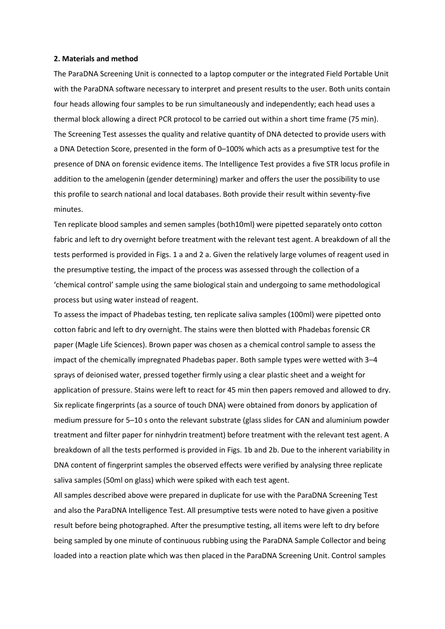#### **2. Materials and method**

The ParaDNA Screening Unit is connected to a laptop computer or the integrated Field Portable Unit with the ParaDNA software necessary to interpret and present results to the user. Both units contain four heads allowing four samples to be run simultaneously and independently; each head uses a thermal block allowing a direct PCR protocol to be carried out within a short time frame (75 min). The Screening Test assesses the quality and relative quantity of DNA detected to provide users with a DNA Detection Score, presented in the form of 0–100% which acts as a presumptive test for the presence of DNA on forensic evidence items. The Intelligence Test provides a five STR locus profile in addition to the amelogenin (gender determining) marker and offers the user the possibility to use this profile to search national and local databases. Both provide their result within seventy-five minutes.

Ten replicate blood samples and semen samples (both10ml) were pipetted separately onto cotton fabric and left to dry overnight before treatment with the relevant test agent. A breakdown of all the tests performed is provided in Figs. 1 a and 2 a. Given the relatively large volumes of reagent used in the presumptive testing, the impact of the process was assessed through the collection of a 'chemical control' sample using the same biological stain and undergoing to same methodological process but using water instead of reagent.

To assess the impact of Phadebas testing, ten replicate saliva samples (100ml) were pipetted onto cotton fabric and left to dry overnight. The stains were then blotted with Phadebas forensic CR paper (Magle Life Sciences). Brown paper was chosen as a chemical control sample to assess the impact of the chemically impregnated Phadebas paper. Both sample types were wetted with 3–4 sprays of deionised water, pressed together firmly using a clear plastic sheet and a weight for application of pressure. Stains were left to react for 45 min then papers removed and allowed to dry. Six replicate fingerprints (as a source of touch DNA) were obtained from donors by application of medium pressure for 5–10 s onto the relevant substrate (glass slides for CAN and aluminium powder treatment and filter paper for ninhydrin treatment) before treatment with the relevant test agent. A breakdown of all the tests performed is provided in Figs. 1b and 2b. Due to the inherent variability in DNA content of fingerprint samples the observed effects were verified by analysing three replicate saliva samples (50ml on glass) which were spiked with each test agent.

All samples described above were prepared in duplicate for use with the ParaDNA Screening Test and also the ParaDNA Intelligence Test. All presumptive tests were noted to have given a positive result before being photographed. After the presumptive testing, all items were left to dry before being sampled by one minute of continuous rubbing using the ParaDNA Sample Collector and being loaded into a reaction plate which was then placed in the ParaDNA Screening Unit. Control samples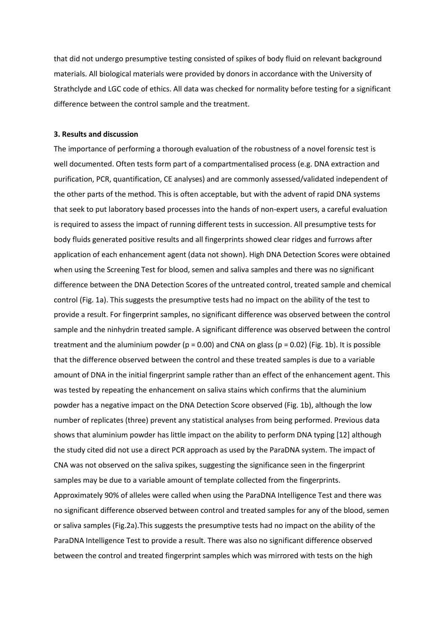that did not undergo presumptive testing consisted of spikes of body fluid on relevant background materials. All biological materials were provided by donors in accordance with the University of Strathclyde and LGC code of ethics. All data was checked for normality before testing for a significant difference between the control sample and the treatment.

# **3. Results and discussion**

The importance of performing a thorough evaluation of the robustness of a novel forensic test is well documented. Often tests form part of a compartmentalised process (e.g. DNA extraction and purification, PCR, quantification, CE analyses) and are commonly assessed/validated independent of the other parts of the method. This is often acceptable, but with the advent of rapid DNA systems that seek to put laboratory based processes into the hands of non-expert users, a careful evaluation is required to assess the impact of running different tests in succession. All presumptive tests for body fluids generated positive results and all fingerprints showed clear ridges and furrows after application of each enhancement agent (data not shown). High DNA Detection Scores were obtained when using the Screening Test for blood, semen and saliva samples and there was no significant difference between the DNA Detection Scores of the untreated control, treated sample and chemical control (Fig. 1a). This suggests the presumptive tests had no impact on the ability of the test to provide a result. For fingerprint samples, no significant difference was observed between the control sample and the ninhydrin treated sample. A significant difference was observed between the control treatment and the aluminium powder ( $p = 0.00$ ) and CNA on glass ( $p = 0.02$ ) (Fig. 1b). It is possible that the difference observed between the control and these treated samples is due to a variable amount of DNA in the initial fingerprint sample rather than an effect of the enhancement agent. This was tested by repeating the enhancement on saliva stains which confirms that the aluminium powder has a negative impact on the DNA Detection Score observed (Fig. 1b), although the low number of replicates (three) prevent any statistical analyses from being performed. Previous data shows that aluminium powder has little impact on the ability to perform DNA typing [12] although the study cited did not use a direct PCR approach as used by the ParaDNA system. The impact of CNA was not observed on the saliva spikes, suggesting the significance seen in the fingerprint samples may be due to a variable amount of template collected from the fingerprints. Approximately 90% of alleles were called when using the ParaDNA Intelligence Test and there was no significant difference observed between control and treated samples for any of the blood, semen or saliva samples (Fig.2a).This suggests the presumptive tests had no impact on the ability of the ParaDNA Intelligence Test to provide a result. There was also no significant difference observed between the control and treated fingerprint samples which was mirrored with tests on the high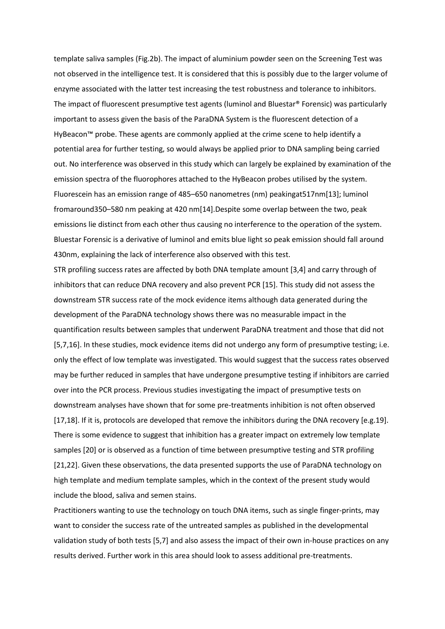template saliva samples (Fig.2b). The impact of aluminium powder seen on the Screening Test was not observed in the intelligence test. It is considered that this is possibly due to the larger volume of enzyme associated with the latter test increasing the test robustness and tolerance to inhibitors. The impact of fluorescent presumptive test agents (luminol and Bluestar® Forensic) was particularly important to assess given the basis of the ParaDNA System is the fluorescent detection of a HyBeacon™ probe. These agents are commonly applied at the crime scene to help identify a potential area for further testing, so would always be applied prior to DNA sampling being carried out. No interference was observed in this study which can largely be explained by examination of the emission spectra of the fluorophores attached to the HyBeacon probes utilised by the system. Fluorescein has an emission range of 485–650 nanometres (nm) peakingat517nm[13]; luminol fromaround350–580 nm peaking at 420 nm[14].Despite some overlap between the two, peak emissions lie distinct from each other thus causing no interference to the operation of the system. Bluestar Forensic is a derivative of luminol and emits blue light so peak emission should fall around 430nm, explaining the lack of interference also observed with this test.

STR profiling success rates are affected by both DNA template amount [3,4] and carry through of inhibitors that can reduce DNA recovery and also prevent PCR [15]. This study did not assess the downstream STR success rate of the mock evidence items although data generated during the development of the ParaDNA technology shows there was no measurable impact in the quantification results between samples that underwent ParaDNA treatment and those that did not [5,7,16]. In these studies, mock evidence items did not undergo any form of presumptive testing; i.e. only the effect of low template was investigated. This would suggest that the success rates observed may be further reduced in samples that have undergone presumptive testing if inhibitors are carried over into the PCR process. Previous studies investigating the impact of presumptive tests on downstream analyses have shown that for some pre-treatments inhibition is not often observed [17,18]. If it is, protocols are developed that remove the inhibitors during the DNA recovery [e.g.19]. There is some evidence to suggest that inhibition has a greater impact on extremely low template samples [20] or is observed as a function of time between presumptive testing and STR profiling [21,22]. Given these observations, the data presented supports the use of ParaDNA technology on high template and medium template samples, which in the context of the present study would include the blood, saliva and semen stains.

Practitioners wanting to use the technology on touch DNA items, such as single finger-prints, may want to consider the success rate of the untreated samples as published in the developmental validation study of both tests [5,7] and also assess the impact of their own in-house practices on any results derived. Further work in this area should look to assess additional pre-treatments.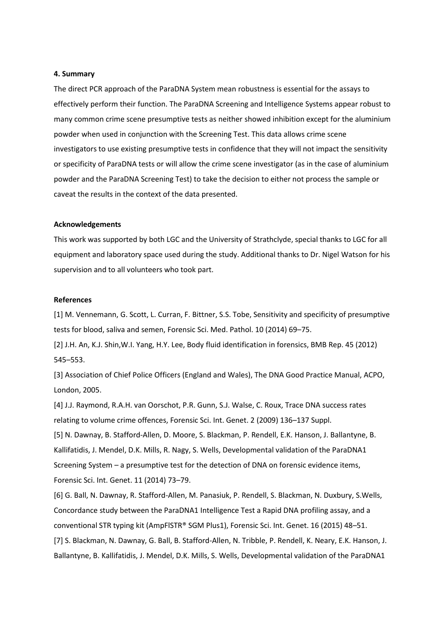# **4. Summary**

The direct PCR approach of the ParaDNA System mean robustness is essential for the assays to effectively perform their function. The ParaDNA Screening and Intelligence Systems appear robust to many common crime scene presumptive tests as neither showed inhibition except for the aluminium powder when used in conjunction with the Screening Test. This data allows crime scene investigators to use existing presumptive tests in confidence that they will not impact the sensitivity or specificity of ParaDNA tests or will allow the crime scene investigator (as in the case of aluminium powder and the ParaDNA Screening Test) to take the decision to either not process the sample or caveat the results in the context of the data presented.

# **Acknowledgements**

This work was supported by both LGC and the University of Strathclyde, special thanks to LGC for all equipment and laboratory space used during the study. Additional thanks to Dr. Nigel Watson for his supervision and to all volunteers who took part.

### **References**

[1] M. Vennemann, G. Scott, L. Curran, F. Bittner, S.S. Tobe, Sensitivity and specificity of presumptive tests for blood, saliva and semen, Forensic Sci. Med. Pathol. 10 (2014) 69–75.

[2] J.H. An, K.J. Shin,W.I. Yang, H.Y. Lee, Body fluid identification in forensics, BMB Rep. 45 (2012) 545–553.

[3] Association of Chief Police Officers (England and Wales), The DNA Good Practice Manual, ACPO, London, 2005.

[4] J.J. Raymond, R.A.H. van Oorschot, P.R. Gunn, S.J. Walse, C. Roux, Trace DNA success rates relating to volume crime offences, Forensic Sci. Int. Genet. 2 (2009) 136–137 Suppl.

[5] N. Dawnay, B. Stafford-Allen, D. Moore, S. Blackman, P. Rendell, E.K. Hanson, J. Ballantyne, B. Kallifatidis, J. Mendel, D.K. Mills, R. Nagy, S. Wells, Developmental validation of the ParaDNA1 Screening System – a presumptive test for the detection of DNA on forensic evidence items, Forensic Sci. Int. Genet. 11 (2014) 73–79.

[6] G. Ball, N. Dawnay, R. Stafford-Allen, M. Panasiuk, P. Rendell, S. Blackman, N. Duxbury, S.Wells, Concordance study between the ParaDNA1 Intelligence Test a Rapid DNA profiling assay, and a conventional STR typing kit (AmpFlSTR® SGM Plus1), Forensic Sci. Int. Genet. 16 (2015) 48–51. [7] S. Blackman, N. Dawnay, G. Ball, B. Stafford-Allen, N. Tribble, P. Rendell, K. Neary, E.K. Hanson, J. Ballantyne, B. Kallifatidis, J. Mendel, D.K. Mills, S. Wells, Developmental validation of the ParaDNA1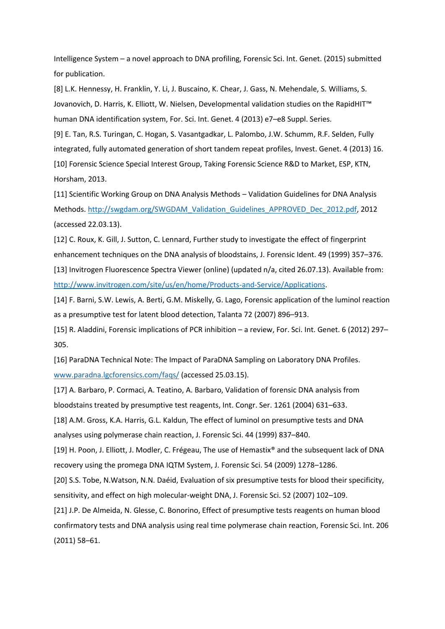Intelligence System – a novel approach to DNA profiling, Forensic Sci. Int. Genet. (2015) submitted for publication.

[8] L.K. Hennessy, H. Franklin, Y. Li, J. Buscaino, K. Chear, J. Gass, N. Mehendale, S. Williams, S. Jovanovich, D. Harris, K. Elliott, W. Nielsen, Developmental validation studies on the RapidHIT™ human DNA identification system, For. Sci. Int. Genet. 4 (2013) e7–e8 Suppl. Series.

[9] E. Tan, R.S. Turingan, C. Hogan, S. Vasantgadkar, L. Palombo, J.W. Schumm, R.F. Selden, Fully integrated, fully automated generation of short tandem repeat profiles, Invest. Genet. 4 (2013) 16. [10] Forensic Science Special Interest Group, Taking Forensic Science R&D to Market, ESP, KTN, Horsham, 2013.

[11] Scientific Working Group on DNA Analysis Methods – Validation Guidelines for DNA Analysis Methods[. http://swgdam.org/SWGDAM\\_Validation\\_Guidelines\\_APPROVED\\_Dec\\_2012.pdf,](http://swgdam.org/SWGDAM_Validation_Guidelines_APPROVED_Dec_2012.pdf) 2012 (accessed 22.03.13).

[12] C. Roux, K. Gill, J. Sutton, C. Lennard, Further study to investigate the effect of fingerprint enhancement techniques on the DNA analysis of bloodstains, J. Forensic Ident. 49 (1999) 357–376. [13] Invitrogen Fluorescence Spectra Viewer (online) (updated n/a, cited 26.07.13). Available from:

[http://www.invitrogen.com/site/us/en/home/Products-and-Service/Applications.](http://www.invitrogen.com/site/us/en/home/Products-and-Service/Applications)

[14] F. Barni, S.W. Lewis, A. Berti, G.M. Miskelly, G. Lago, Forensic application of the luminol reaction as a presumptive test for latent blood detection, Talanta 72 (2007) 896–913.

[15] R. Aladdini, Forensic implications of PCR inhibition – a review, For. Sci. Int. Genet. 6 (2012) 297– 305.

[16] ParaDNA Technical Note: The Impact of ParaDNA Sampling on Laboratory DNA Profiles. [www.paradna.lgcforensics.com/faqs/](http://www.paradna.lgcforensics.com/faqs/) (accessed 25.03.15).

[17] A. Barbaro, P. Cormaci, A. Teatino, A. Barbaro, Validation of forensic DNA analysis from bloodstains treated by presumptive test reagents, Int. Congr. Ser. 1261 (2004) 631–633.

[18] A.M. Gross, K.A. Harris, G.L. Kaldun, The effect of luminol on presumptive tests and DNA analyses using polymerase chain reaction, J. Forensic Sci. 44 (1999) 837–840.

[19] H. Poon, J. Elliott, J. Modler, C. Frégeau, The use of Hemastix® and the subsequent lack of DNA recovery using the promega DNA IQTM System, J. Forensic Sci. 54 (2009) 1278–1286.

[20] S.S. Tobe, N.Watson, N.N. Daéid, Evaluation of six presumptive tests for blood their specificity, sensitivity, and effect on high molecular-weight DNA, J. Forensic Sci. 52 (2007) 102–109.

[21] J.P. De Almeida, N. Glesse, C. Bonorino, Effect of presumptive tests reagents on human blood confirmatory tests and DNA analysis using real time polymerase chain reaction, Forensic Sci. Int. 206 (2011) 58–61.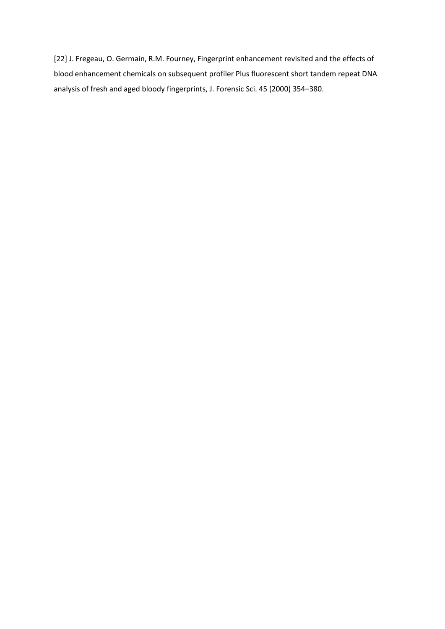[22] J. Fregeau, O. Germain, R.M. Fourney, Fingerprint enhancement revisited and the effects of blood enhancement chemicals on subsequent profiler Plus fluorescent short tandem repeat DNA analysis of fresh and aged bloody fingerprints, J. Forensic Sci. 45 (2000) 354–380.